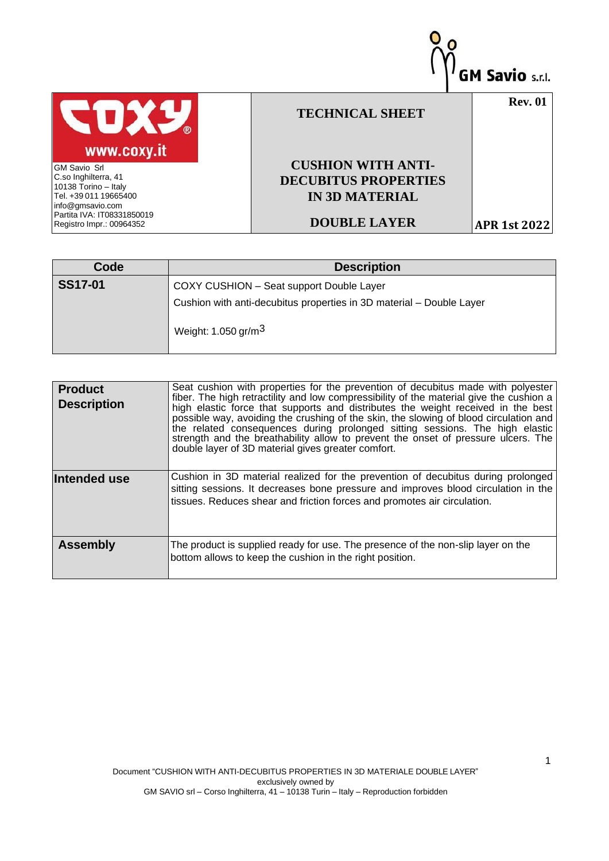

| Code           | <b>Description</b>                                                   |
|----------------|----------------------------------------------------------------------|
| <b>SS17-01</b> | COXY CUSHION - Seat support Double Layer                             |
|                | Cushion with anti-decubitus properties in 3D material - Double Layer |
|                | Weight: 1.050 gr/m $3$                                               |

| <b>Product</b><br><b>Description</b> | Seat cushion with properties for the prevention of decubitus made with polyester<br>fiber. The high retractility and low compressibility of the material give the cushion a<br>high elastic force that supports and distributes the weight received in the best<br>possible way, avoiding the crushing of the skin, the slowing of blood circulation and<br>the related consequences during prolonged sitting sessions. The high elastic<br>strength and the breathability allow to prevent the onset of pressure ulcers. The<br>double layer of 3D material gives greater comfort. |
|--------------------------------------|-------------------------------------------------------------------------------------------------------------------------------------------------------------------------------------------------------------------------------------------------------------------------------------------------------------------------------------------------------------------------------------------------------------------------------------------------------------------------------------------------------------------------------------------------------------------------------------|
| Intended use                         | Cushion in 3D material realized for the prevention of decubitus during prolonged<br>sitting sessions. It decreases bone pressure and improves blood circulation in the<br>tissues. Reduces shear and friction forces and promotes air circulation.                                                                                                                                                                                                                                                                                                                                  |
| <b>Assembly</b>                      | The product is supplied ready for use. The presence of the non-slip layer on the<br>bottom allows to keep the cushion in the right position.                                                                                                                                                                                                                                                                                                                                                                                                                                        |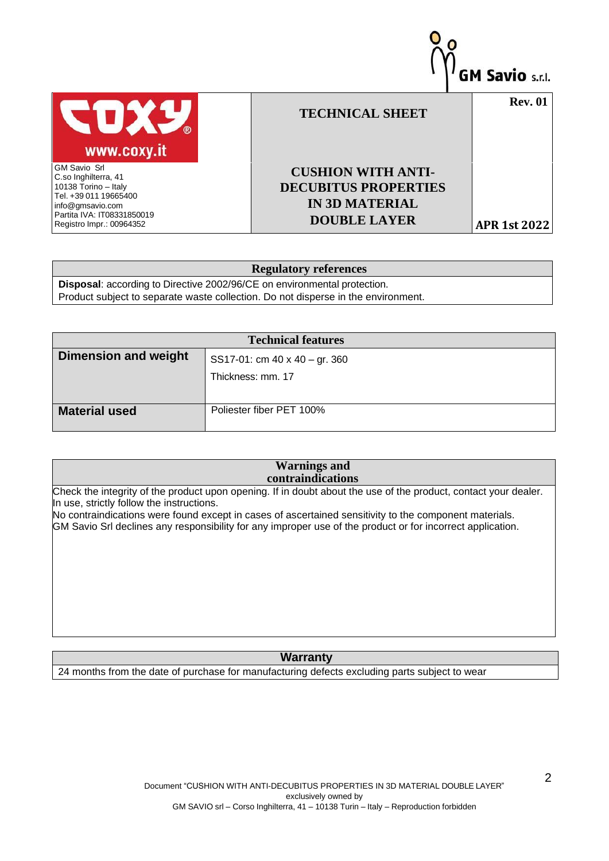

## **Regulatory references**

**Disposal**: according to Directive 2002/96/CE on environmental protection. Product subject to separate waste collection. Do not disperse in the environment.

|                             | <b>Technical features</b>            |
|-----------------------------|--------------------------------------|
| <b>Dimension and weight</b> | SS17-01: cm $40 \times 40 - gr. 360$ |
|                             | Thickness: mm. 17                    |
|                             |                                      |
| <b>Material used</b>        | Poliester fiber PET 100%             |

## **Warnings and contraindications**

Check the integrity of the product upon opening. If in doubt about the use of the product, contact your dealer. In use, strictly follow the instructions.

No contraindications were found except in cases of ascertained sensitivity to the component materials. GM Savio Srl declines any responsibility for any improper use of the product or for incorrect application.

## **Warranty**

24 months from the date of purchase for manufacturing defects excluding parts subject to wear